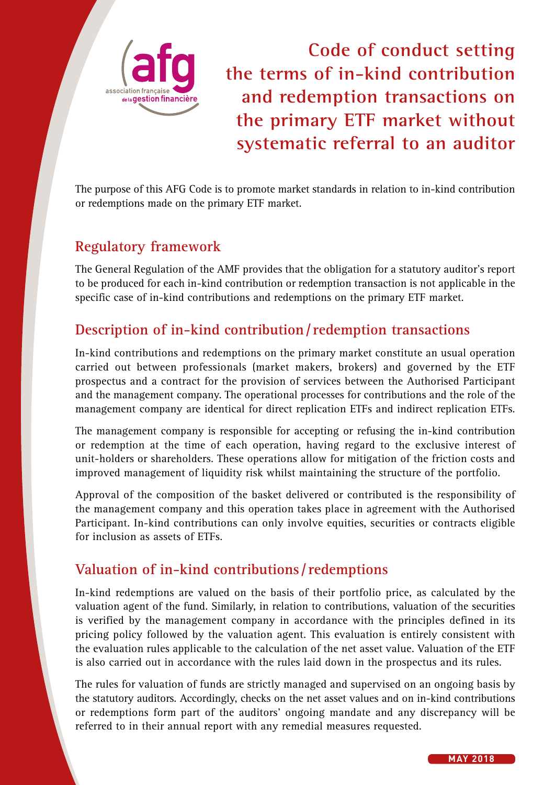

**Code of conduct setting the terms of in-kind contribution and redemption transactions on the primary ETF market without systematic referral to an auditor**

The purpose of this AFG Code is to promote market standards in relation to in-kind contribution or redemptions made on the primary ETF market.

# **Regulatory framework**

The General Regulation of the AMF provides that the obligation for a statutory auditor's report to be produced for each in-kind contribution or redemption transaction is not applicable in the specific case of in-kind contributions and redemptions on the primary ETF market.

### **Description of in-kind contribution/redemption transactions**

In-kind contributions and redemptions on the primary market constitute an usual operation carried out between professionals (market makers, brokers) and governed by the ETF prospectus and a contract for the provision of services between the Authorised Participant and the management company. The operational processes for contributions and the role of the management company are identical for direct replication ETFs and indirect replication ETFs.

The management company is responsible for accepting or refusing the in-kind contribution or redemption at the time of each operation, having regard to the exclusive interest of unit-holders or shareholders. These operations allow for mitigation of the friction costs and improved management of liquidity risk whilst maintaining the structure of the portfolio.

Approval of the composition of the basket delivered or contributed is the responsibility of the management company and this operation takes place in agreement with the Authorised Participant. In-kind contributions can only involve equities, securities or contracts eligible for inclusion as assets of ETFs.

# **Valuation of in-kind contributions /redemptions**

In-kind redemptions are valued on the basis of their portfolio price, as calculated by the valuation agent of the fund. Similarly, in relation to contributions, valuation of the securities is verified by the management company in accordance with the principles defined in its pricing policy followed by the valuation agent. This evaluation is entirely consistent with the evaluation rules applicable to the calculation of the net asset value. Valuation of the ETF is also carried out in accordance with the rules laid down in the prospectus and its rules.

The rules for valuation of funds are strictly managed and supervised on an ongoing basis by the statutory auditors. Accordingly, checks on the net asset values and on in-kind contributions or redemptions form part of the auditors' ongoing mandate and any discrepancy will be referred to in their annual report with any remedial measures requested.